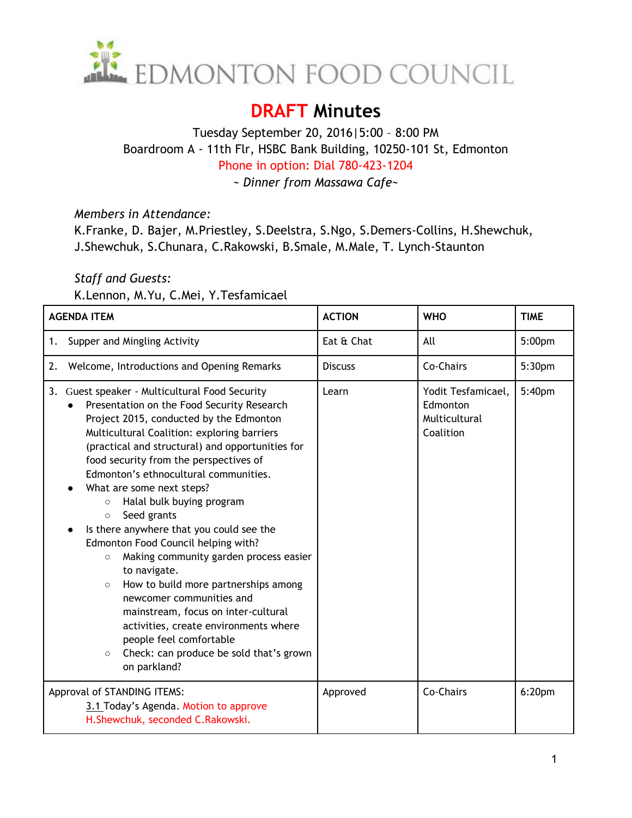

## **DRAFT Minutes**

## Tuesday September 20, 2016|5:00 – 8:00 PM Boardroom A - 11th Flr, HSBC Bank Building, 10250-101 St, Edmonton Phone in option: Dial 780-423-1204

*~ Dinner from Massawa Cafe~*

*Members in Attendance:* 

K.Franke, D. Bajer, M.Priestley, S.Deelstra, S.Ngo, S.Demers-Collins, H.Shewchuk, J.Shewchuk, S.Chunara, C.Rakowski, B.Smale, M.Male, T. Lynch-Staunton

## *Staff and Guests:*

K.Lennon, M.Yu, C.Mei, Y.Tesfamicael

| <b>AGENDA ITEM</b>                                                                                                                                                                                                                                                                                                                                                                                                                                                                                                                                                                                                                                                                                                                                                                                                                                      | <b>ACTION</b>  | <b>WHO</b>                                                   | <b>TIME</b>        |
|---------------------------------------------------------------------------------------------------------------------------------------------------------------------------------------------------------------------------------------------------------------------------------------------------------------------------------------------------------------------------------------------------------------------------------------------------------------------------------------------------------------------------------------------------------------------------------------------------------------------------------------------------------------------------------------------------------------------------------------------------------------------------------------------------------------------------------------------------------|----------------|--------------------------------------------------------------|--------------------|
| Supper and Mingling Activity<br>1.                                                                                                                                                                                                                                                                                                                                                                                                                                                                                                                                                                                                                                                                                                                                                                                                                      | Eat & Chat     | All                                                          | 5:00pm             |
| Welcome, Introductions and Opening Remarks<br>2.                                                                                                                                                                                                                                                                                                                                                                                                                                                                                                                                                                                                                                                                                                                                                                                                        | <b>Discuss</b> | Co-Chairs                                                    | 5:30pm             |
| 3.<br>Guest speaker - Multicultural Food Security<br>Presentation on the Food Security Research<br>Project 2015, conducted by the Edmonton<br>Multicultural Coalition: exploring barriers<br>(practical and structural) and opportunities for<br>food security from the perspectives of<br>Edmonton's ethnocultural communities.<br>What are some next steps?<br>Halal bulk buying program<br>$\circ$<br>Seed grants<br>$\circ$<br>Is there anywhere that you could see the<br>Edmonton Food Council helping with?<br>Making community garden process easier<br>$\circ$<br>to navigate.<br>How to build more partnerships among<br>$\circ$<br>newcomer communities and<br>mainstream, focus on inter-cultural<br>activities, create environments where<br>people feel comfortable<br>Check: can produce be sold that's grown<br>$\circ$<br>on parkland? | Learn          | Yodit Tesfamicael,<br>Edmonton<br>Multicultural<br>Coalition | 5:40pm             |
| Approval of STANDING ITEMS:<br>3.1 Today's Agenda. Motion to approve<br>H.Shewchuk, seconded C.Rakowski.                                                                                                                                                                                                                                                                                                                                                                                                                                                                                                                                                                                                                                                                                                                                                | Approved       | Co-Chairs                                                    | 6:20 <sub>pm</sub> |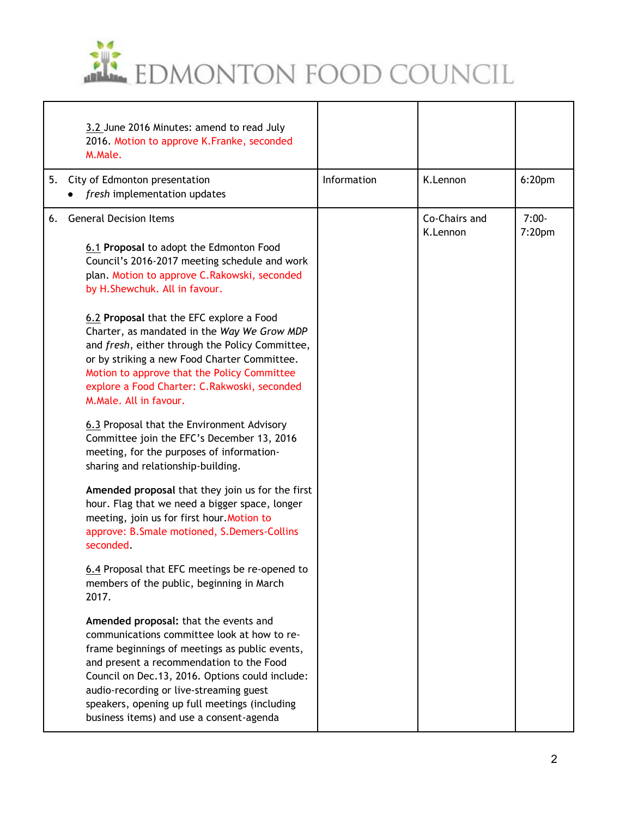

|    | 3.2 June 2016 Minutes: amend to read July<br>2016. Motion to approve K.Franke, seconded<br>M.Male.                                                                                                                                                                                                                                                                            |             |                           |                    |
|----|-------------------------------------------------------------------------------------------------------------------------------------------------------------------------------------------------------------------------------------------------------------------------------------------------------------------------------------------------------------------------------|-------------|---------------------------|--------------------|
| 5. | City of Edmonton presentation<br>fresh implementation updates                                                                                                                                                                                                                                                                                                                 | Information | K.Lennon                  | 6:20 <sub>pm</sub> |
| 6. | <b>General Decision Items</b><br>6.1 Proposal to adopt the Edmonton Food<br>Council's 2016-2017 meeting schedule and work<br>plan. Motion to approve C.Rakowski, seconded<br>by H.Shewchuk. All in favour.                                                                                                                                                                    |             | Co-Chairs and<br>K.Lennon | $7:00-$<br>7:20pm  |
|    | 6.2 Proposal that the EFC explore a Food<br>Charter, as mandated in the Way We Grow MDP<br>and fresh, either through the Policy Committee,<br>or by striking a new Food Charter Committee.<br>Motion to approve that the Policy Committee<br>explore a Food Charter: C.Rakwoski, seconded<br>M.Male. All in favour.                                                           |             |                           |                    |
|    | 6.3 Proposal that the Environment Advisory<br>Committee join the EFC's December 13, 2016<br>meeting, for the purposes of information-<br>sharing and relationship-building.                                                                                                                                                                                                   |             |                           |                    |
|    | Amended proposal that they join us for the first<br>hour. Flag that we need a bigger space, longer<br>meeting, join us for first hour. Motion to<br>approve: B.Smale motioned, S.Demers-Collins<br>seconded.                                                                                                                                                                  |             |                           |                    |
|    | 6.4 Proposal that EFC meetings be re-opened to<br>members of the public, beginning in March<br>2017.                                                                                                                                                                                                                                                                          |             |                           |                    |
|    | Amended proposal: that the events and<br>communications committee look at how to re-<br>frame beginnings of meetings as public events,<br>and present a recommendation to the Food<br>Council on Dec.13, 2016. Options could include:<br>audio-recording or live-streaming guest<br>speakers, opening up full meetings (including<br>business items) and use a consent-agenda |             |                           |                    |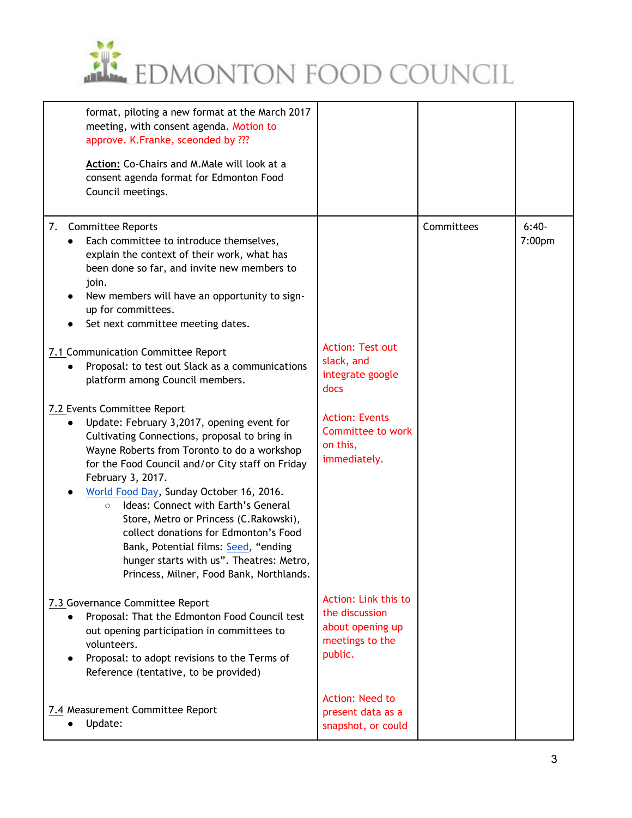

| format, piloting a new format at the March 2017<br>meeting, with consent agenda. Motion to<br>approve. K.Franke, sceonded by ???<br>Action: Co-Chairs and M.Male will look at a<br>consent agenda format for Edmonton Food<br>Council meetings.                                                                                                                                                                                                                                                                                                                                                                                                                                                                                                                                                                                                                                                                                                                                       |                                                                                                                                             |            |                   |
|---------------------------------------------------------------------------------------------------------------------------------------------------------------------------------------------------------------------------------------------------------------------------------------------------------------------------------------------------------------------------------------------------------------------------------------------------------------------------------------------------------------------------------------------------------------------------------------------------------------------------------------------------------------------------------------------------------------------------------------------------------------------------------------------------------------------------------------------------------------------------------------------------------------------------------------------------------------------------------------|---------------------------------------------------------------------------------------------------------------------------------------------|------------|-------------------|
| 7. Committee Reports<br>Each committee to introduce themselves,<br>explain the context of their work, what has<br>been done so far, and invite new members to<br>join.<br>New members will have an opportunity to sign-<br>up for committees.<br>Set next committee meeting dates.<br>7.1 Communication Committee Report<br>Proposal: to test out Slack as a communications<br>platform among Council members.<br>7.2 Events Committee Report<br>Update: February 3,2017, opening event for<br>Cultivating Connections, proposal to bring in<br>Wayne Roberts from Toronto to do a workshop<br>for the Food Council and/or City staff on Friday<br>February 3, 2017.<br>World Food Day, Sunday October 16, 2016.<br>Ideas: Connect with Earth's General<br>$\circ$<br>Store, Metro or Princess (C.Rakowski),<br>collect donations for Edmonton's Food<br>Bank, Potential films: Seed, "ending<br>hunger starts with us". Theatres: Metro,<br>Princess, Milner, Food Bank, Northlands. | <b>Action: Test out</b><br>slack, and<br>integrate google<br>docs<br><b>Action: Events</b><br>Committee to work<br>on this,<br>immediately. | Committees | $6:40-$<br>7:00pm |
| 7.3 Governance Committee Report<br>Proposal: That the Edmonton Food Council test<br>out opening participation in committees to<br>volunteers.<br>Proposal: to adopt revisions to the Terms of<br>Reference (tentative, to be provided)                                                                                                                                                                                                                                                                                                                                                                                                                                                                                                                                                                                                                                                                                                                                                | Action: Link this to<br>the discussion<br>about opening up<br>meetings to the<br>public.                                                    |            |                   |
| 7.4 Measurement Committee Report<br>Update:                                                                                                                                                                                                                                                                                                                                                                                                                                                                                                                                                                                                                                                                                                                                                                                                                                                                                                                                           | Action: Need to<br>present data as a<br>snapshot, or could                                                                                  |            |                   |